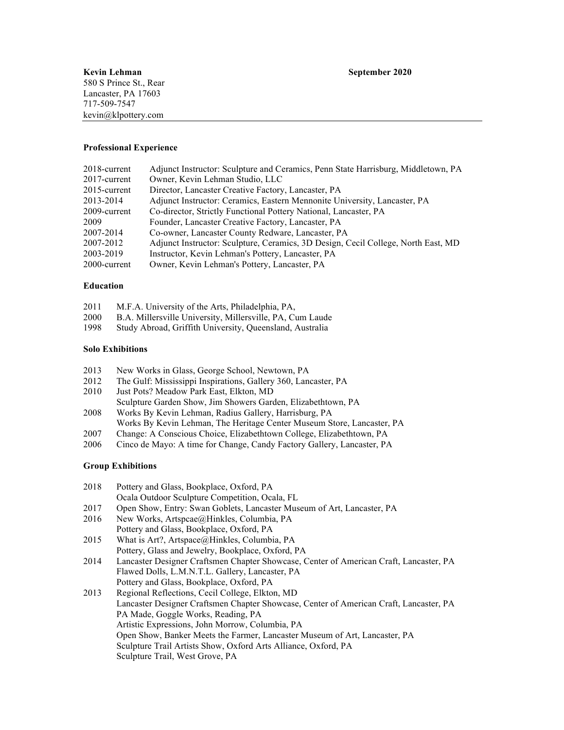### **Professional Experience**

| 2018-current | Adjunct Instructor: Sculpture and Ceramics, Penn State Harrisburg, Middletown, PA |
|--------------|-----------------------------------------------------------------------------------|
| 2017-current | Owner, Kevin Lehman Studio, LLC                                                   |
| 2015-current | Director, Lancaster Creative Factory, Lancaster, PA                               |
| 2013-2014    | Adjunct Instructor: Ceramics, Eastern Mennonite University, Lancaster, PA         |
| 2009-current | Co-director, Strictly Functional Pottery National, Lancaster, PA                  |
| 2009         | Founder, Lancaster Creative Factory, Lancaster, PA                                |
| 2007-2014    | Co-owner, Lancaster County Redware, Lancaster, PA                                 |
| 2007-2012    | Adjunct Instructor: Sculpture, Ceramics, 3D Design, Cecil College, North East, MD |
| 2003-2019    | Instructor, Kevin Lehman's Pottery, Lancaster, PA                                 |
| 2000-current | Owner, Kevin Lehman's Pottery, Lancaster, PA                                      |

### **Education**

| 2011 | M.F.A. University of the Arts, Philadelphia, PA,          |
|------|-----------------------------------------------------------|
| 2000 | B.A. Millersville University, Millersville, PA, Cum Laude |

1998 Study Abroad, Griffith University, Queensland, Australia

### **Solo Exhibitions**

- 2013 New Works in Glass, George School, Newtown, PA
- 2012 The Gulf: Mississippi Inspirations, Gallery 360, Lancaster, PA
- 2010 Just Pots? Meadow Park East, Elkton, MD
- Sculpture Garden Show, Jim Showers Garden, Elizabethtown, PA 2008 Works By Kevin Lehman, Radius Gallery, Harrisburg, PA
- Works By Kevin Lehman, The Heritage Center Museum Store, Lancaster, PA
- 2007 Change: A Conscious Choice, Elizabethtown College, Elizabethtown, PA
- 2006 Cinco de Mayo: A time for Change, Candy Factory Gallery, Lancaster, PA

## **Group Exhibitions**

| 2018 | Pottery and Glass, Bookplace, Oxford, PA           |
|------|----------------------------------------------------|
|      | Ocala Outdoor Sculpture Competition, Ocala, FL     |
| 2017 | Open Show Entry: Swan Goblets I ancaster Museum of |

- 2017 Open Show, Entry: Swan Goblets, Lancaster Museum of Art, Lancaster, PA
- 2016 New Works, Artspcae@Hinkles, Columbia, PA Pottery and Glass, Bookplace, Oxford, PA
- 2015 What is Art?, Artspace@Hinkles, Columbia, PA Pottery, Glass and Jewelry, Bookplace, Oxford, PA
- 2014 Lancaster Designer Craftsmen Chapter Showcase, Center of American Craft, Lancaster, PA Flawed Dolls, L.M.N.T.L. Gallery, Lancaster, PA Pottery and Glass, Bookplace, Oxford, PA
- 2013 Regional Reflections, Cecil College, Elkton, MD Lancaster Designer Craftsmen Chapter Showcase, Center of American Craft, Lancaster, PA PA Made, Goggle Works, Reading, PA Artistic Expressions, John Morrow, Columbia, PA Open Show, Banker Meets the Farmer, Lancaster Museum of Art, Lancaster, PA Sculpture Trail Artists Show, Oxford Arts Alliance, Oxford, PA Sculpture Trail, West Grove, PA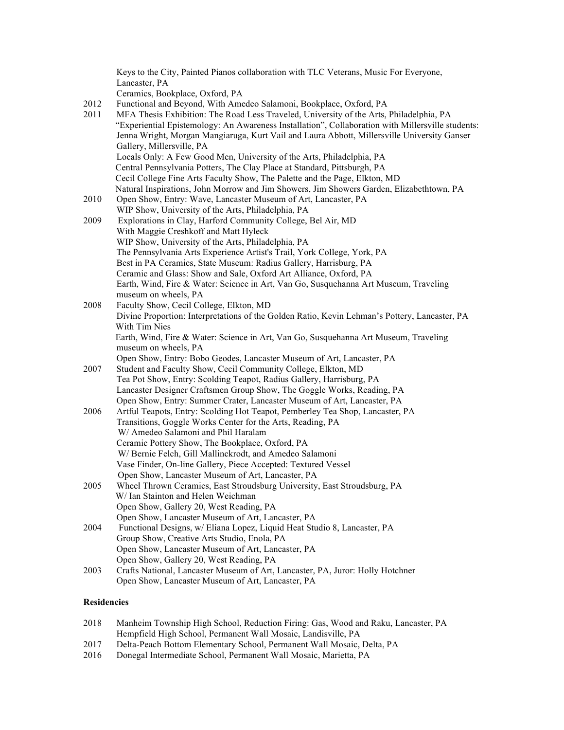|      | Keys to the City, Painted Pianos collaboration with TLC Veterans, Music For Everyone,                                                                                                        |
|------|----------------------------------------------------------------------------------------------------------------------------------------------------------------------------------------------|
|      | Lancaster, PA<br>Ceramics, Bookplace, Oxford, PA                                                                                                                                             |
|      |                                                                                                                                                                                              |
| 2012 | Functional and Beyond, With Amedeo Salamoni, Bookplace, Oxford, PA                                                                                                                           |
| 2011 | MFA Thesis Exhibition: The Road Less Traveled, University of the Arts, Philadelphia, PA<br>"Experiential Epistemology: An Awareness Installation", Collaboration with Millersville students: |
|      |                                                                                                                                                                                              |
|      | Jenna Wright, Morgan Mangiaruga, Kurt Vail and Laura Abbott, Millersville University Ganser                                                                                                  |
|      | Gallery, Millersville, PA                                                                                                                                                                    |
|      | Locals Only: A Few Good Men, University of the Arts, Philadelphia, PA                                                                                                                        |
|      | Central Pennsylvania Potters, The Clay Place at Standard, Pittsburgh, PA                                                                                                                     |
|      | Cecil College Fine Arts Faculty Show, The Palette and the Page, Elkton, MD                                                                                                                   |
|      | Natural Inspirations, John Morrow and Jim Showers, Jim Showers Garden, Elizabethtown, PA                                                                                                     |
| 2010 | Open Show, Entry: Wave, Lancaster Museum of Art, Lancaster, PA                                                                                                                               |
|      | WIP Show, University of the Arts, Philadelphia, PA                                                                                                                                           |
| 2009 | Explorations in Clay, Harford Community College, Bel Air, MD                                                                                                                                 |
|      | With Maggie Creshkoff and Matt Hyleck                                                                                                                                                        |
|      | WIP Show, University of the Arts, Philadelphia, PA                                                                                                                                           |
|      | The Pennsylvania Arts Experience Artist's Trail, York College, York, PA                                                                                                                      |
|      | Best in PA Ceramics, State Museum: Radius Gallery, Harrisburg, PA                                                                                                                            |
|      | Ceramic and Glass: Show and Sale, Oxford Art Alliance, Oxford, PA<br>Earth, Wind, Fire & Water: Science in Art, Van Go, Susquehanna Art Museum, Traveling                                    |
|      | museum on wheels, PA                                                                                                                                                                         |
| 2008 | Faculty Show, Cecil College, Elkton, MD                                                                                                                                                      |
|      | Divine Proportion: Interpretations of the Golden Ratio, Kevin Lehman's Pottery, Lancaster, PA                                                                                                |
|      | With Tim Nies                                                                                                                                                                                |
|      | Earth, Wind, Fire & Water: Science in Art, Van Go, Susquehanna Art Museum, Traveling                                                                                                         |
|      | museum on wheels, PA                                                                                                                                                                         |
|      | Open Show, Entry: Bobo Geodes, Lancaster Museum of Art, Lancaster, PA                                                                                                                        |
| 2007 | Student and Faculty Show, Cecil Community College, Elkton, MD                                                                                                                                |
|      | Tea Pot Show, Entry: Scolding Teapot, Radius Gallery, Harrisburg, PA                                                                                                                         |
|      | Lancaster Designer Craftsmen Group Show, The Goggle Works, Reading, PA                                                                                                                       |
|      | Open Show, Entry: Summer Crater, Lancaster Museum of Art, Lancaster, PA                                                                                                                      |
| 2006 | Artful Teapots, Entry: Scolding Hot Teapot, Pemberley Tea Shop, Lancaster, PA                                                                                                                |
|      | Transitions, Goggle Works Center for the Arts, Reading, PA                                                                                                                                   |
|      | W/ Amedeo Salamoni and Phil Haralam                                                                                                                                                          |
|      | Ceramic Pottery Show, The Bookplace, Oxford, PA                                                                                                                                              |
|      | W/Bernie Felch, Gill Mallinckrodt, and Amedeo Salamoni                                                                                                                                       |
|      | Vase Finder, On-line Gallery, Piece Accepted: Textured Vessel                                                                                                                                |
|      | Open Show, Lancaster Museum of Art, Lancaster, PA                                                                                                                                            |
| 2005 | Wheel Thrown Ceramics, East Stroudsburg University, East Stroudsburg, PA                                                                                                                     |
|      | W/ Ian Stainton and Helen Weichman                                                                                                                                                           |
|      | Open Show, Gallery 20, West Reading, PA                                                                                                                                                      |
|      | Open Show, Lancaster Museum of Art, Lancaster, PA                                                                                                                                            |
| 2004 | Functional Designs, w/ Eliana Lopez, Liquid Heat Studio 8, Lancaster, PA                                                                                                                     |
|      | Group Show, Creative Arts Studio, Enola, PA                                                                                                                                                  |
|      | Open Show, Lancaster Museum of Art, Lancaster, PA                                                                                                                                            |
|      | Open Show, Gallery 20, West Reading, PA                                                                                                                                                      |
| 2003 | Crafts National, Lancaster Museum of Art, Lancaster, PA, Juror: Holly Hotchner                                                                                                               |
|      | Open Show, Lancaster Museum of Art, Lancaster, PA                                                                                                                                            |
|      |                                                                                                                                                                                              |

# **Residencies**

| 2018 | Manheim Township High School, Reduction Firing: Gas, Wood and Raku, Lancaster, PA |
|------|-----------------------------------------------------------------------------------|
|      | Hempfield High School, Permanent Wall Mosaic, Landisville, PA                     |
|      |                                                                                   |

- 2017 Delta-Peach Bottom Elementary School, Permanent Wall Mosaic, Delta, PA
- 2016 Donegal Intermediate School, Permanent Wall Mosaic, Marietta, PA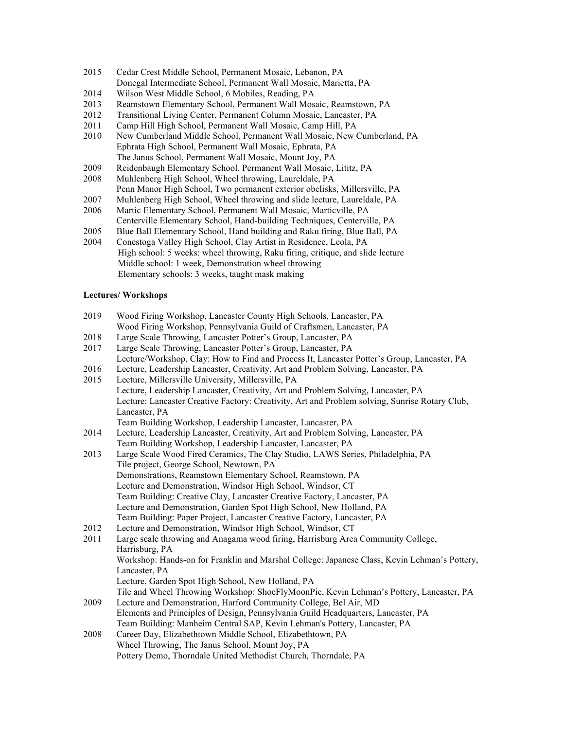- 2015 Cedar Crest Middle School, Permanent Mosaic, Lebanon, PA Donegal Intermediate School, Permanent Wall Mosaic, Marietta, PA
- 2014 Wilson West Middle School, 6 Mobiles, Reading, PA
- 2013 Reamstown Elementary School, Permanent Wall Mosaic, Reamstown, PA
- 2012 Transitional Living Center, Permanent Column Mosaic, Lancaster, PA
- 2011 Camp Hill High School, Permanent Wall Mosaic, Camp Hill, PA
- 2010 New Cumberland Middle School, Permanent Wall Mosaic, New Cumberland, PA Ephrata High School, Permanent Wall Mosaic, Ephrata, PA The Janus School, Permanent Wall Mosaic, Mount Joy, PA
- 2009 Reidenbaugh Elementary School, Permanent Wall Mosaic, Lititz, PA
- 2008 Muhlenberg High School, Wheel throwing, Laureldale, PA
- Penn Manor High School, Two permanent exterior obelisks, Millersville, PA
- 2007 Muhlenberg High School, Wheel throwing and slide lecture, Laureldale, PA 2006 Martic Elementary School, Permanent Wall Mosaic, Marticville, PA
- Centerville Elementary School, Hand-building Techniques, Centerville, PA 2005 Blue Ball Elementary School, Hand building and Raku firing, Blue Ball, PA
- 2004 Conestoga Valley High School, Clay Artist in Residence, Leola, PA High school: 5 weeks: wheel throwing, Raku firing, critique, and slide lecture Middle school: 1 week, Demonstration wheel throwing Elementary schools: 3 weeks, taught mask making

# **Lectures/ Workshops**

- 2019 Wood Firing Workshop, Lancaster County High Schools, Lancaster, PA Wood Firing Workshop, Pennsylvania Guild of Craftsmen, Lancaster, PA
- 2018 Large Scale Throwing, Lancaster Potter's Group, Lancaster, PA
- 2017 Large Scale Throwing, Lancaster Potter's Group, Lancaster, PA Lecture/Workshop, Clay: How to Find and Process It, Lancaster Potter's Group, Lancaster, PA
- 2016 Lecture, Leadership Lancaster, Creativity, Art and Problem Solving, Lancaster, PA
- 2015 Lecture, Millersville University, Millersville, PA Lecture, Leadership Lancaster, Creativity, Art and Problem Solving, Lancaster, PA Lecture: Lancaster Creative Factory: Creativity, Art and Problem solving, Sunrise Rotary Club, Lancaster, PA
	- Team Building Workshop, Leadership Lancaster, Lancaster, PA
- 2014 Lecture, Leadership Lancaster, Creativity, Art and Problem Solving, Lancaster, PA Team Building Workshop, Leadership Lancaster, Lancaster, PA
- 2013 Large Scale Wood Fired Ceramics, The Clay Studio, LAWS Series, Philadelphia, PA Tile project, George School, Newtown, PA Demonstrations, Reamstown Elementary School, Reamstown, PA Lecture and Demonstration, Windsor High School, Windsor, CT Team Building: Creative Clay, Lancaster Creative Factory, Lancaster, PA Lecture and Demonstration, Garden Spot High School, New Holland, PA Team Building: Paper Project, Lancaster Creative Factory, Lancaster, PA 2012 Lecture and Demonstration, Windsor High School, Windsor, CT
- 2011 Large scale throwing and Anagama wood firing, Harrisburg Area Community College, Harrisburg, PA Workshop: Hands-on for Franklin and Marshal College: Japanese Class, Kevin Lehman's Pottery, Lancaster, PA Lecture, Garden Spot High School, New Holland, PA Tile and Wheel Throwing Workshop: ShoeFlyMoonPie, Kevin Lehman's Pottery, Lancaster, PA 2009 Lecture and Demonstration, Harford Community College, Bel Air, MD Elements and Principles of Design, Pennsylvania Guild Headquarters, Lancaster, PA Team Building: Manheim Central SAP, Kevin Lehman's Pottery, Lancaster, PA 2008 Career Day, Elizabethtown Middle School, Elizabethtown, PA
- Wheel Throwing, The Janus School, Mount Joy, PA Pottery Demo, Thorndale United Methodist Church, Thorndale, PA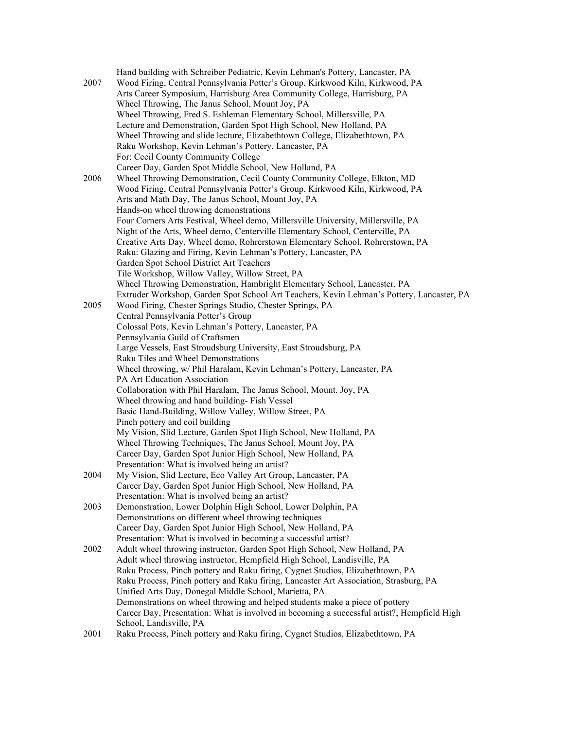|      | Hand building with Schreiber Pediatric, Kevin Lehman's Pottery, Lancaster, PA               |
|------|---------------------------------------------------------------------------------------------|
| 2007 | Wood Firing, Central Pennsylvania Potter's Group, Kirkwood Kiln, Kirkwood, PA               |
|      | Arts Career Symposium, Harrisburg Area Community College, Harrisburg, PA                    |
|      | Wheel Throwing, The Janus School, Mount Joy, PA                                             |
|      | Wheel Throwing, Fred S. Eshleman Elementary School, Millersville, PA                        |
|      | Lecture and Demonstration, Garden Spot High School, New Holland, PA                         |
|      | Wheel Throwing and slide lecture, Elizabethtown College, Elizabethtown, PA                  |
|      | Raku Workshop, Kevin Lehman's Pottery, Lancaster, PA                                        |
|      | For: Cecil County Community College                                                         |
|      | Career Day, Garden Spot Middle School, New Holland, PA                                      |
| 2006 | Wheel Throwing Demonstration, Cecil County Community College, Elkton, MD                    |
|      | Wood Firing, Central Pennsylvania Potter's Group, Kirkwood Kiln, Kirkwood, PA               |
|      | Arts and Math Day, The Janus School, Mount Joy, PA                                          |
|      | Hands-on wheel throwing demonstrations                                                      |
|      | Four Corners Arts Festival, Wheel demo, Millersville University, Millersville, PA           |
|      | Night of the Arts, Wheel demo, Centerville Elementary School, Centerville, PA               |
|      | Creative Arts Day, Wheel demo, Rohrerstown Elementary School, Rohrerstown, PA               |
|      | Raku: Glazing and Firing, Kevin Lehman's Pottery, Lancaster, PA                             |
|      | Garden Spot School District Art Teachers                                                    |
|      | Tile Workshop, Willow Valley, Willow Street, PA                                             |
|      | Wheel Throwing Demonstration, Hambright Elementary School, Lancaster, PA                    |
|      | Extruder Workshop, Garden Spot School Art Teachers, Kevin Lehman's Pottery, Lancaster, PA   |
| 2005 | Wood Firing, Chester Springs Studio, Chester Springs, PA                                    |
|      | Central Pennsylvania Potter's Group                                                         |
|      | Colossal Pots, Kevin Lehman's Pottery, Lancaster, PA                                        |
|      | Pennsylvania Guild of Craftsmen                                                             |
|      | Large Vessels, East Stroudsburg University, East Stroudsburg, PA                            |
|      | Raku Tiles and Wheel Demonstrations                                                         |
|      | Wheel throwing, w/ Phil Haralam, Kevin Lehman's Pottery, Lancaster, PA                      |
|      | PA Art Education Association                                                                |
|      | Collaboration with Phil Haralam, The Janus School, Mount. Joy, PA                           |
|      | Wheel throwing and hand building-Fish Vessel                                                |
|      | Basic Hand-Building, Willow Valley, Willow Street, PA                                       |
|      | Pinch pottery and coil building                                                             |
|      | My Vision, Slid Lecture, Garden Spot High School, New Holland, PA                           |
|      | Wheel Throwing Techniques, The Janus School, Mount Joy, PA                                  |
|      | Career Day, Garden Spot Junior High School, New Holland, PA                                 |
|      | Presentation: What is involved being an artist?                                             |
| 2004 | My Vision, Slid Lecture, Eco Valley Art Group, Lancaster, PA                                |
|      | Career Day, Garden Spot Junior High School, New Holland, PA                                 |
|      | Presentation: What is involved being an artist?                                             |
| 2003 | Demonstration, Lower Dolphin High School, Lower Dolphin, PA                                 |
|      | Demonstrations on different wheel throwing techniques                                       |
|      | Career Day, Garden Spot Junior High School, New Holland, PA                                 |
|      | Presentation: What is involved in becoming a successful artist?                             |
| 2002 | Adult wheel throwing instructor, Garden Spot High School, New Holland, PA                   |
|      | Adult wheel throwing instructor, Hempfield High School, Landisville, PA                     |
|      | Raku Process, Pinch pottery and Raku firing, Cygnet Studios, Elizabethtown, PA              |
|      | Raku Process, Pinch pottery and Raku firing, Lancaster Art Association, Strasburg, PA       |
|      | Unified Arts Day, Donegal Middle School, Marietta, PA                                       |
|      | Demonstrations on wheel throwing and helped students make a piece of pottery                |
|      | Career Day, Presentation: What is involved in becoming a successful artist?, Hempfield High |
|      | School, Landisville, PA                                                                     |
| 3001 |                                                                                             |

2001 Raku Process, Pinch pottery and Raku firing, Cygnet Studios, Elizabethtown, PA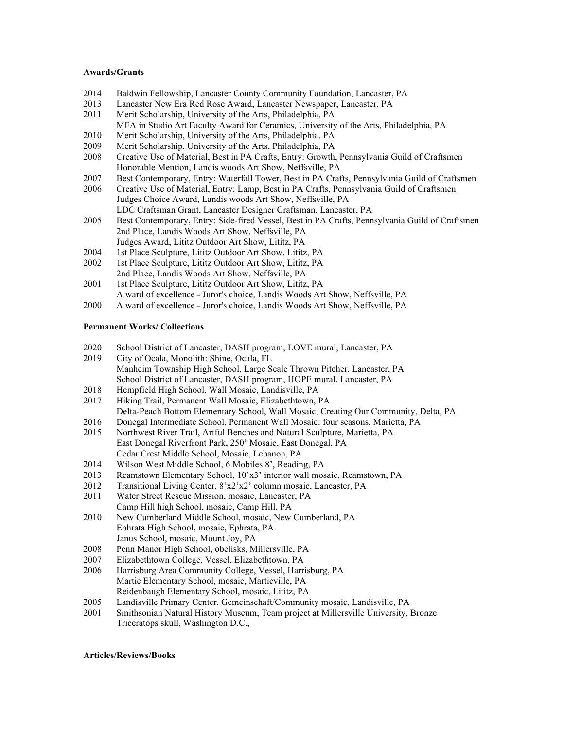### **Awards/Grants**

- 2014 Baldwin Fellowship, Lancaster County Community Foundation, Lancaster, PA
- 2013 Lancaster New Era Red Rose Award, Lancaster Newspaper, Lancaster, PA
- 2011 Merit Scholarship, University of the Arts, Philadelphia, PA MFA in Studio Art Faculty Award for Ceramics, University of the Arts, Philadelphia, PA
- 2010 Merit Scholarship, University of the Arts, Philadelphia, PA
- 2009 Merit Scholarship, University of the Arts, Philadelphia, PA
- 2008 Creative Use of Material, Best in PA Crafts, Entry: Growth, Pennsylvania Guild of Craftsmen Honorable Mention, Landis woods Art Show, Neffsville, PA
- 2007 Best Contemporary, Entry: Waterfall Tower, Best in PA Crafts, Pennsylvania Guild of Craftsmen
- 2006 Creative Use of Material, Entry: Lamp, Best in PA Crafts, Pennsylvania Guild of Craftsmen Judges Choice Award, Landis woods Art Show, Neffsville, PA LDC Craftsman Grant, Lancaster Designer Craftsman, Lancaster, PA
- 2005 Best Contemporary, Entry: Side-fired Vessel, Best in PA Crafts, Pennsylvania Guild of Craftsmen 2nd Place, Landis Woods Art Show, Neffsville, PA Judges Award, Lititz Outdoor Art Show, Lititz, PA
- 2004 1st Place Sculpture, Lititz Outdoor Art Show, Lititz, PA
- 2002 1st Place Sculpture, Lititz Outdoor Art Show, Lititz, PA
- 2nd Place, Landis Woods Art Show, Neffsville, PA
- 2001 1st Place Sculpture, Lititz Outdoor Art Show, Lititz, PA A ward of excellence - Juror's choice, Landis Woods Art Show, Neffsville, PA
- 2000 A ward of excellence Juror's choice, Landis Woods Art Show, Neffsville, PA

## **Permanent Works/ Collections**

- 2020 School District of Lancaster, DASH program, LOVE mural, Lancaster, PA
- 2019 City of Ocala, Monolith: Shine, Ocala, FL Manheim Township High School, Large Scale Thrown Pitcher, Lancaster, PA School District of Lancaster, DASH program, HOPE mural, Lancaster, PA
- 2018 Hempfield High School, Wall Mosaic, Landisville, PA
- 2017 Hiking Trail, Permanent Wall Mosaic, Elizabethtown, PA Delta-Peach Bottom Elementary School, Wall Mosaic, Creating Our Community, Delta, PA
- 2016 Donegal Intermediate School, Permanent Wall Mosaic: four seasons, Marietta, PA
- 2015 Northwest River Trail, Artful Benches and Natural Sculpture, Marietta, PA East Donegal Riverfront Park, 250' Mosaic, East Donegal, PA Cedar Crest Middle School, Mosaic, Lebanon, PA
- 2014 Wilson West Middle School, 6 Mobiles 8', Reading, PA
- 2013 Reamstown Elementary School, 10'x3' interior wall mosaic, Reamstown, PA
- 2012 Transitional Living Center, 8'x2'x2' column mosaic, Lancaster, PA
- 2011 Water Street Rescue Mission, mosaic, Lancaster, PA Camp Hill high School, mosaic, Camp Hill, PA
- 2010 New Cumberland Middle School, mosaic, New Cumberland, PA Ephrata High School, mosaic, Ephrata, PA Janus School, mosaic, Mount Joy, PA
- 2008 Penn Manor High School, obelisks, Millersville, PA
- 2007 Elizabethtown College, Vessel, Elizabethtown, PA
- 2006 Harrisburg Area Community College, Vessel, Harrisburg, PA Martic Elementary School, mosaic, Marticville, PA Reidenbaugh Elementary School, mosaic, Lititz, PA
- 2005 Landisville Primary Center, Gemeinschaft/Community mosaic, Landisville, PA
- 2001 Smithsonian Natural History Museum, Team project at Millersville University, Bronze Triceratops skull, Washington D.C.,

### **Articles/Reviews/Books**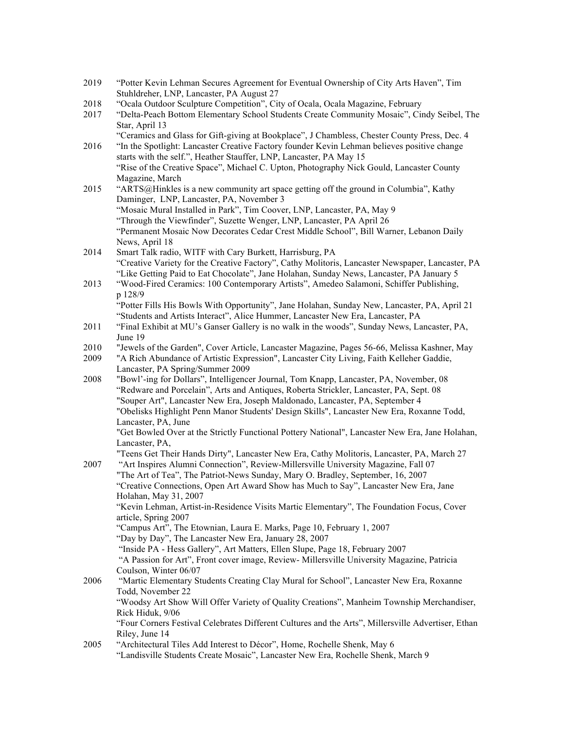- 2019 "Potter Kevin Lehman Secures Agreement for Eventual Ownership of City Arts Haven", Tim Stuhldreher, LNP, Lancaster, PA August 27
- 2018 "Ocala Outdoor Sculpture Competition", City of Ocala, Ocala Magazine, February
- 2017 "Delta-Peach Bottom Elementary School Students Create Community Mosaic", Cindy Seibel, The Star, April 13
- "Ceramics and Glass for Gift-giving at Bookplace", J Chambless, Chester County Press, Dec. 4 2016 "In the Spotlight: Lancaster Creative Factory founder Kevin Lehman believes positive change starts with the self.", Heather Stauffer, LNP, Lancaster, PA May 15 "Rise of the Creative Space", Michael C. Upton, Photography Nick Gould, Lancaster County
- Magazine, March 2015 "ARTS@Hinkles is a new community art space getting off the ground in Columbia", Kathy Daminger, LNP, Lancaster, PA, November 3 "Mosaic Mural Installed in Park", Tim Coover, LNP, Lancaster, PA, May 9 "Through the Viewfinder", Suzette Wenger, LNP, Lancaster, PA April 26

"Permanent Mosaic Now Decorates Cedar Crest Middle School", Bill Warner, Lebanon Daily News, April 18

- 2014 Smart Talk radio, WITF with Cary Burkett, Harrisburg, PA "Creative Variety for the Creative Factory", Cathy Molitoris, Lancaster Newspaper, Lancaster, PA "Like Getting Paid to Eat Chocolate", Jane Holahan, Sunday News, Lancaster, PA January 5
- 2013 "Wood-Fired Ceramics: 100 Contemporary Artists", Amedeo Salamoni, Schiffer Publishing, p 128/9

"Potter Fills His Bowls With Opportunity", Jane Holahan, Sunday New, Lancaster, PA, April 21 "Students and Artists Interact", Alice Hummer, Lancaster New Era, Lancaster, PA

- 2011 "Final Exhibit at MU's Ganser Gallery is no walk in the woods", Sunday News, Lancaster, PA, June 19
- 2010 "Jewels of the Garden", Cover Article, Lancaster Magazine, Pages 56-66, Melissa Kashner, May

2009 "A Rich Abundance of Artistic Expression", Lancaster City Living, Faith Kelleher Gaddie, Lancaster, PA Spring/Summer 2009

2008 "Bowl'-ing for Dollars", Intelligencer Journal, Tom Knapp, Lancaster, PA, November, 08 "Redware and Porcelain", Arts and Antiques, Roberta Strickler, Lancaster, PA, Sept. 08 "Souper Art", Lancaster New Era, Joseph Maldonado, Lancaster, PA, September 4 "Obelisks Highlight Penn Manor Students' Design Skills", Lancaster New Era, Roxanne Todd, Lancaster, PA, June

"Get Bowled Over at the Strictly Functional Pottery National", Lancaster New Era, Jane Holahan, Lancaster, PA,

"Teens Get Their Hands Dirty", Lancaster New Era, Cathy Molitoris, Lancaster, PA, March 27 2007 "Art Inspires Alumni Connection", Review-Millersville University Magazine, Fall 07 "The Art of Tea", The Patriot-News Sunday, Mary O. Bradley, September, 16, 2007

"Creative Connections, Open Art Award Show has Much to Say", Lancaster New Era, Jane Holahan, May 31, 2007

"Kevin Lehman, Artist-in-Residence Visits Martic Elementary", The Foundation Focus, Cover article, Spring 2007

- "Campus Art", The Etownian, Laura E. Marks, Page 10, February 1, 2007
- "Day by Day", The Lancaster New Era, January 28, 2007

"Inside PA - Hess Gallery", Art Matters, Ellen Slupe, Page 18, February 2007 "A Passion for Art", Front cover image, Review- Millersville University Magazine, Patricia Coulson, Winter 06/07

2006 "Martic Elementary Students Creating Clay Mural for School", Lancaster New Era, Roxanne Todd, November 22 "Woodsy Art Show Will Offer Variety of Quality Creations", Manheim Township Merchandiser, Rick Hiduk, 9/06 "Four Corners Festival Celebrates Different Cultures and the Arts", Millersville Advertiser, Ethan Riley, June 14

2005 "Architectural Tiles Add Interest to Décor", Home, Rochelle Shenk, May 6 "Landisville Students Create Mosaic", Lancaster New Era, Rochelle Shenk, March 9